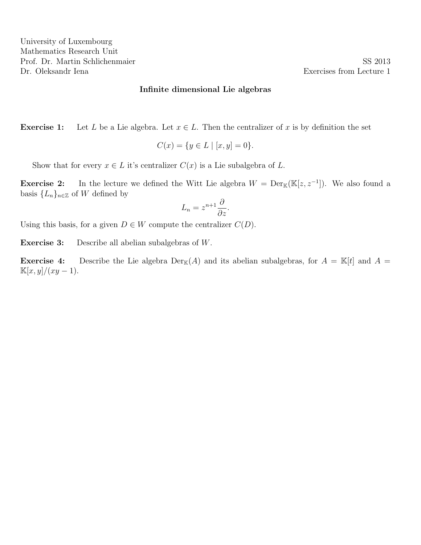**Exercise 1:** Let L be a Lie algebra. Let  $x \in L$ . Then the centralizer of x is by definition the set

$$
C(x) = \{ y \in L \mid [x, y] = 0 \}.
$$

Show that for every  $x \in L$  it's centralizer  $C(x)$  is a Lie subalgebra of L.

**Exercise 2:** In the lecture we defined the Witt Lie algebra  $W = \text{Der}_{\mathbb{K}}(\mathbb{K}[z, z^{-1}])$ . We also found a basis  ${L_n}_{n \in \mathbb{Z}}$  of W defined by

$$
L_n = z^{n+1} \frac{\partial}{\partial z}.
$$

Using this basis, for a given  $D \in W$  compute the centralizer  $C(D)$ .

Exercise 3: Describe all abelian subalgebras of W.

**Exercise 4:** Describe the Lie algebra  $Der_{\mathbb{K}}(A)$  and its abelian subalgebras, for  $A = \mathbb{K}[t]$  and  $A =$  $\mathbb{K}[x,y]/(xy-1).$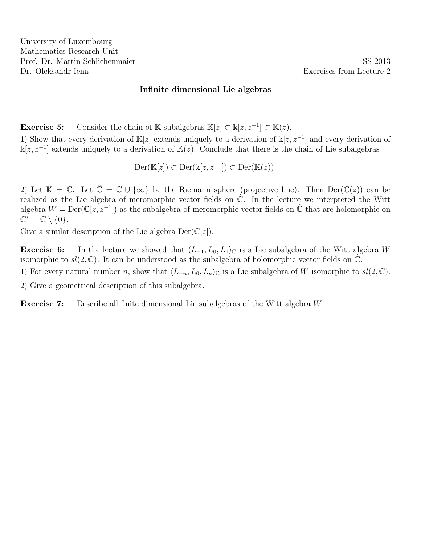University of Luxembourg Mathematics Research Unit Prof. Dr. Martin Schlichenmaier SS 2013 Dr. Oleksandr Iena **Exercises** from Lecture 2

### Infinite dimensional Lie algebras

**Exercise 5:** Consider the chain of K-subalgebras  $\mathbb{K}[z] \subset \mathbb{K}[z, z^{-1}] \subset \mathbb{K}(z)$ .

1) Show that every derivation of  $\mathbb{K}[z]$  extends uniquely to a derivation of  $\mathbb{K}[z, z^{-1}]$  and every derivation of  $\mathbb{k}[z, z^{-1}]$  extends uniquely to a derivation of  $\mathbb{K}(z)$ . Conclude that there is the chain of Lie subalgebras

$$
\mathrm{Der}(\mathbb{K}[z]) \subset \mathrm{Der}(\mathbb{k}[z, z^{-1}]) \subset \mathrm{Der}(\mathbb{K}(z)).
$$

2) Let  $\mathbb{K} = \mathbb{C}$ . Let  $\hat{\mathbb{C}} = \mathbb{C} \cup \{\infty\}$  be the Riemann sphere (projective line). Then  $\text{Der}(\mathbb{C}(z))$  can be realized as the Lie algebra of meromorphic vector fields on  $\hat{\mathbb{C}}$ . In the lecture we interpreted the Witt algebra  $W = \text{Der}(\mathbb{C}[z, z^{-1}])$  as the subalgebra of meromorphic vector fields on  $\hat{\mathbb{C}}$  that are holomorphic on  $\mathbb{C}^* = \mathbb{C} \setminus \{0\}.$ 

Give a similar description of the Lie algebra  $Der(\mathbb{C}[z])$ .

**Exercise 6:** In the lecture we showed that  $\langle L_{-1}, L_0, L_1 \rangle_{\mathbb{C}}$  is a Lie subalgebra of the Witt algebra W isomorphic to  $sl(2,\mathbb{C})$ . It can be understood as the subalgebra of holomorphic vector fields on  $\mathbb{C}$ .

1) For every natural number n, show that  $\langle L_{-n}, L_0, L_n \rangle_{\mathbb{C}}$  is a Lie subalgebra of W isomorphic to  $sl(2, \mathbb{C})$ .

2) Give a geometrical description of this subalgebra.

Exercise 7: Describe all finite dimensional Lie subalgebras of the Witt algebra W.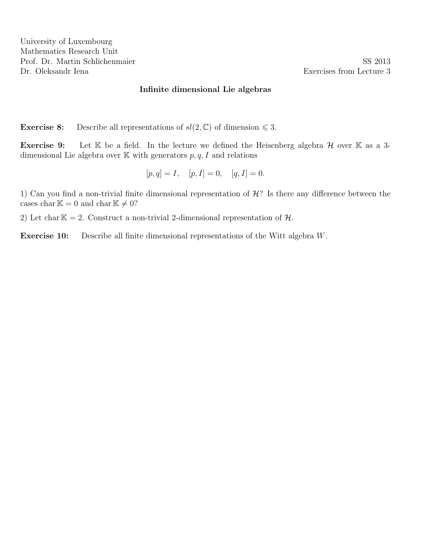University of Luxembourg Mathematics Research Unit Prof. Dr. Martin Schlichenmaier SS 2013 Dr. Oleksandr Iena **Exercises** from Lecture 3

### Infinite dimensional Lie algebras

**Exercise 8:** Describe all representations of  $sl(2,\mathbb{C})$  of dimension  $\leq 3$ .

**Exercise 9:** Let  $K$  be a field. In the lecture we defined the Heisenberg algebra  $H$  over  $K$  as a 3dimensional Lie algebra over  $K$  with generators  $p, q, I$  and relations

$$
[p, q] = I, [p, I] = 0, [q, I] = 0.
$$

1) Can you find a non-trivial finite dimensional representation of  $\mathcal{H}$ ? Is there any difference between the cases char  $\mathbb{K} = 0$  and char  $\mathbb{K} \neq 0$ ?

2) Let char  $K = 2$ . Construct a non-trivial 2-dimensional representation of  $H$ .

Exercise 10: Describe all finite dimensional representations of the Witt algebra W.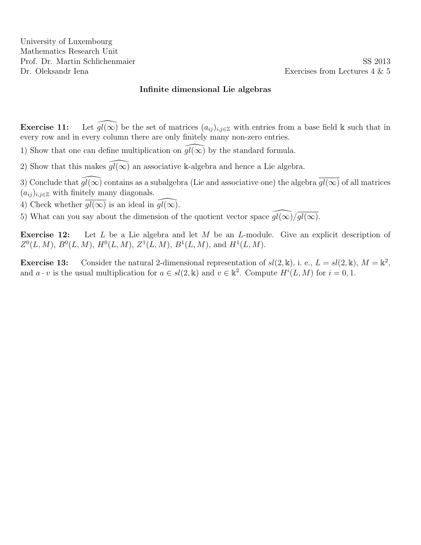**Exercise 11:** Let  $\widehat{gl(\infty)}$  be the set of matrices  $(a_{ij})_{i,j\in\mathbb{Z}}$  with entries from a base field k such that in every row and in every column there are only finitely many non-zero entries.

1) Show that one can define multiplication on  $gl(\infty)$  by the standard formula.

2) Show that this makes  $\widehat{gl(\infty)}$  an associative k-algebra and hence a Lie algebra.

3) Conclude that  $\widehat{gl(\infty)}$  contains as a subalgebra (Lie and associative one) the algebra  $\overline{gl(\infty)}$  of all matrices  $(a_{ij})_{i,j\in\mathbb{Z}}$  with finitely many diagonals.

4) Check whether  $\overline{gl(\infty)}$  is an ideal in  $gl(\infty)$ .

5) What can you say about the dimension of the quotient vector space  $\overline{gl(\infty)}/\overline{gl(\infty)}$ .

**Exercise 12:** Let  $L$  be a Lie algebra and let  $M$  be an  $L$ -module. Give an explicit description of  $Z^0(L,M)$ ,  $B^0(L,M)$ ,  $H^0(L,M)$ ,  $Z^1(L,M)$ ,  $B^1(L,M)$ , and  $H^1(L,M)$ .

**Exercise 13:** Consider the natural 2-dimensional representation of  $sl(2, \mathbb{k})$ , i. e.,  $L = sl(2, \mathbb{k})$ ,  $M = \mathbb{k}^2$ , and  $a \cdot v$  is the usual multiplication for  $a \in sl(2, \mathbb{k})$  and  $v \in \mathbb{k}^2$ . Compute  $H^i(L, M)$  for  $i = 0, 1$ .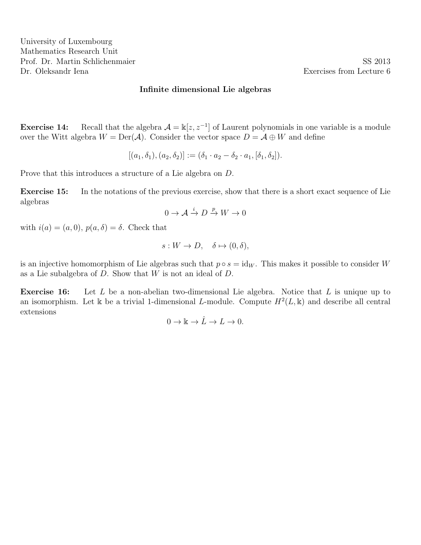**Exercise 14:** Recall that the algebra  $\mathcal{A} = \mathbb{k}[z, z^{-1}]$  of Laurent polynomials in one variable is a module over the Witt algebra  $W = \text{Der}(\mathcal{A})$ . Consider the vector space  $D = \mathcal{A} \oplus W$  and define

$$
[(a_1, \delta_1), (a_2, \delta_2)] := (\delta_1 \cdot a_2 - \delta_2 \cdot a_1, [\delta_1, \delta_2]).
$$

Prove that this introduces a structure of a Lie algebra on D.

Exercise 15: In the notations of the previous exercise, show that there is a short exact sequence of Lie algebras

$$
0 \to \mathcal{A} \xrightarrow{i} D \xrightarrow{p} W \to 0
$$

with  $i(a) = (a, 0), p(a, \delta) = \delta$ . Check that

$$
s: W \to D, \quad \delta \mapsto (0, \delta),
$$

is an injective homomorphism of Lie algebras such that  $p \circ s = id_W$ . This makes it possible to consider W as a Lie subalgebra of D. Show that W is not an ideal of D.

Exercise 16: Let L be a non-abelian two-dimensional Lie algebra. Notice that L is unique up to an isomorphism. Let k be a trivial 1-dimensional L-module. Compute  $H^2(L, \mathbb{k})$  and describe all central extensions

$$
0\to \Bbbk\to \hat{L}\to L\to 0.
$$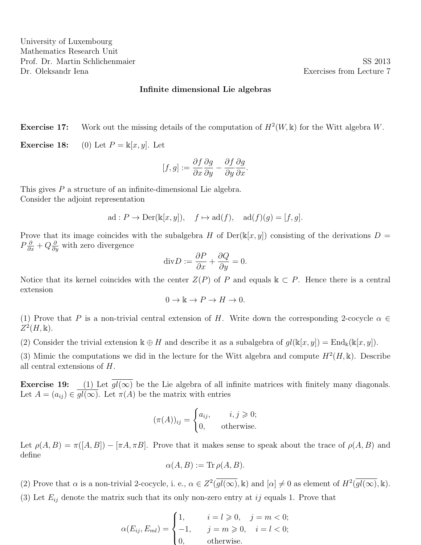**Exercise 17:** Work out the missing details of the computation of  $H^2(W, \mathbb{k})$  for the Witt algebra W.

**Exercise 18:** (0) Let  $P = \mathbb{k}[x, y]$ . Let

$$
[f,g] := \frac{\partial f}{\partial x}\frac{\partial g}{\partial y} - \frac{\partial f}{\partial y}\frac{\partial g}{\partial x}.
$$

This gives P a structure of an infinite-dimensional Lie algebra. Consider the adjoint representation

$$
ad: P \to Der(\mathbb{k}[x, y]), \quad f \mapsto ad(f), \quad ad(f)(g) = [f, g].
$$

Prove that its image coincides with the subalgebra H of  $Der(\kappa[x, y])$  consisting of the derivations  $D =$  $P\frac{\partial}{\partial x} + Q\frac{\partial}{\partial y}$  with zero divergence

$$
\mathrm{div}D := \frac{\partial P}{\partial x} + \frac{\partial Q}{\partial y} = 0.
$$

Notice that its kernel coincides with the center  $Z(P)$  of P and equals  $k \subset P$ . Hence there is a central extension

$$
0 \to \mathbb{k} \to P \to H \to 0.
$$

(1) Prove that P is a non-trivial central extension of H. Write down the corresponding 2-cocycle  $\alpha \in$  $Z^2(H,\mathbb{k}).$ 

(2) Consider the trivial extension  $\mathbb{k} \oplus H$  and describe it as a subalgebra of  $gl(\mathbb{k}[x,y]) = \text{End}_{\mathbb{k}}(\mathbb{k}[x,y])$ .

(3) Mimic the computations we did in the lecture for the Witt algebra and compute  $H^2(H, \mathbb{k})$ . Describe all central extensions of H.

**Exercise 19:** (1) Let  $\overline{gl(\infty)}$  be the Lie algebra of all infinite matrices with finitely many diagonals. Let  $A = (a_{ij}) \in \overline{gl(\infty)}$ . Let  $\pi(A)$  be the matrix with entries

$$
(\pi(A))_{ij} = \begin{cases} a_{ij}, & i, j \geq 0; \\ 0, & \text{otherwise.} \end{cases}
$$

Let  $\rho(A, B) = \pi([A, B]) - [\pi A, \pi B]$ . Prove that it makes sense to speak about the trace of  $\rho(A, B)$  and define

$$
\alpha(A, B) := \text{Tr } \rho(A, B).
$$

(2) Prove that  $\alpha$  is a non-trivial 2-cocycle, i. e.,  $\alpha \in Z^2(\overline{gl(\infty)}, \mathbb{k})$  and  $[\alpha] \neq 0$  as element of  $H^2(\overline{gl(\infty)}, \mathbb{k})$ . (3) Let  $E_{ij}$  denote the matrix such that its only non-zero entry at ij equals 1. Prove that

$$
\alpha(E_{ij}, E_{ml}) = \begin{cases} 1, & i = l \geqslant 0, \quad j = m < 0; \\ -1, & j = m \geqslant 0, \quad i = l < 0; \\ 0, & \text{otherwise.} \end{cases}
$$